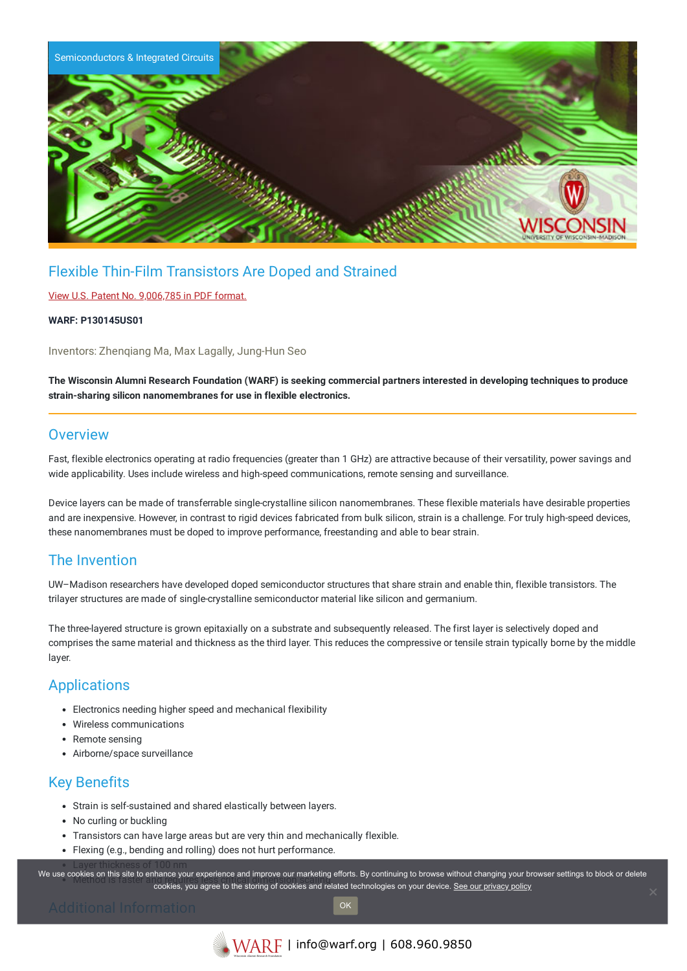

# Flexible Thin-Film Transistors Are Doped and Strained

### View U.S. Patent No. [9,006,785](https://www.warf.org/wp-content/uploads/technologies/ipstatus/P130145US01.pdf) in PDF format.

#### **WARF: P130145US01**

Inventors: Zhenqiang Ma, Max Lagally, Jung-Hun Seo

The Wisconsin Alumni Research Foundation (WARF) is seeking commercial partners interested in developing techniques to produce **strain-sharing silicon nanomembranes for use in flexible electronics.**

## **Overview**

Fast, flexible electronics operating at radio frequencies (greater than 1 GHz) are attractive because of their versatility, power savings and wide applicability. Uses include wireless and high-speed communications, remote sensing and surveillance.

Device layers can be made of transferrable single-crystalline silicon nanomembranes. These flexible materials have desirable properties and are inexpensive. However, in contrast to rigid devices fabricated from bulk silicon, strain is a challenge. For truly high-speed devices, these nanomembranes must be doped to improve performance, freestanding and able to bear strain.

## The Invention

UW–Madison researchers have developed doped semiconductor structures that share strain and enable thin, flexible transistors. The trilayer structures are made of single-crystalline semiconductor material like silicon and germanium.

The three-layered structure is grown epitaxially on a substrate and subsequently released. The first layer is selectively doped and comprises the same material and thickness as the third layer. This reduces the compressive or tensile strain typically borne by the middle layer.

## **Applications**

- Electronics needing higher speed and mechanical flexibility
- Wireless communications
- Remote sensing
- Airborne/space surveillance

# Key Benefits

- Strain is self-sustained and shared elastically between layers.
- No curling or buckling
- Transistors can have large areas but are very thin and mechanically flexible.
- Flexing (e.g., bending and rolling) does not hurt performance.

Layer thickness of 100 nm We use cookies on this site to enhance your experience and improve our marketing efforts. By continuing to browse without changing your browser settings to block or delete cookies, you agree to the storing of cookies and related technologies on your device. [See our privacy policy](https://www.warf.org/privacy-policy/)

OK